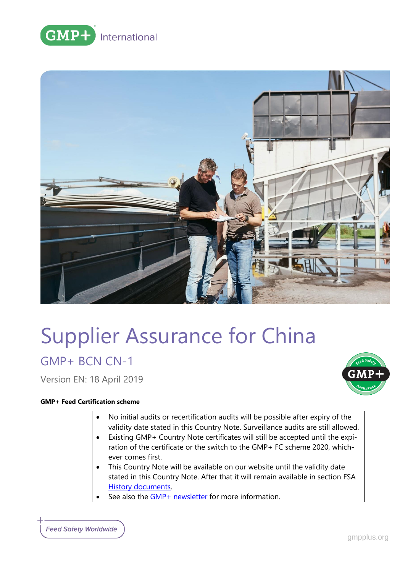



# Supplier Assurance for China

GMP+ BCN CN-1

Version EN: 18 April 2019

## **GMP+ Feed Certification scheme**

- No initial audits or recertification audits will be possible after expiry of the validity date stated in this Country Note. Surveillance audits are still allowed.
- Existing GMP+ Country Note certificates will still be accepted until the expiration of the certificate or the switch to the GMP+ FC scheme 2020, whichever comes first.
- This Country Note will be available on our website until the validity date stated in this Country Note. After that it will remain available in section [FSA](https://www.gmpplus.org/en/feed-certification-scheme/gmp-fsa-certification/fsa-history-documents/)  **[History documents.](https://www.gmpplus.org/en/feed-certification-scheme/gmp-fsa-certification/fsa-history-documents/)**
- See also the [GMP+ newsletter](https://www.gmpplus.org/en/publications/gmp-news/gmp-country-notes-update/) for more information.

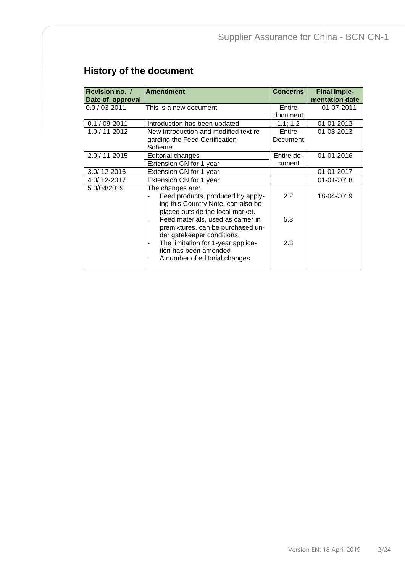# **History of the document**

| Revision no. /<br>Date of approval | <b>Amendment</b>                                                                                                                | <b>Concerns</b>      | <b>Final imple-</b><br>mentation date |
|------------------------------------|---------------------------------------------------------------------------------------------------------------------------------|----------------------|---------------------------------------|
| $0.0 / 03 - 2011$                  | This is a new document                                                                                                          | Entire<br>document   | 01-07-2011                            |
| $0.1 / 09 - 2011$                  | Introduction has been updated                                                                                                   | 1.1; 1.2             | 01-01-2012                            |
| 1.0 / 11-2012                      | New introduction and modified text re-<br>garding the Feed Certification<br>Scheme                                              | Entire<br>Document   | 01-03-2013                            |
| $2.0 / 11 - 2015$                  | Editorial changes<br>Extension CN for 1 year                                                                                    | Entire do-<br>cument | 01-01-2016                            |
| 3.0/12-2016                        | Extension CN for 1 year                                                                                                         |                      | 01-01-2017                            |
| 4.0/12-2017                        | Extension CN for 1 year                                                                                                         |                      | 01-01-2018                            |
| 5.0/04/2019                        | The changes are:<br>Feed products, produced by apply-<br>ing this Country Note, can also be<br>placed outside the local market. | 2.2                  | 18-04-2019                            |
|                                    | Feed materials, used as carrier in<br>premixtures, can be purchased un-<br>der gatekeeper conditions.                           | 5.3                  |                                       |
|                                    | The limitation for 1-year applica-<br>$\overline{\phantom{0}}$<br>tion has been amended<br>A number of editorial changes        | 2.3                  |                                       |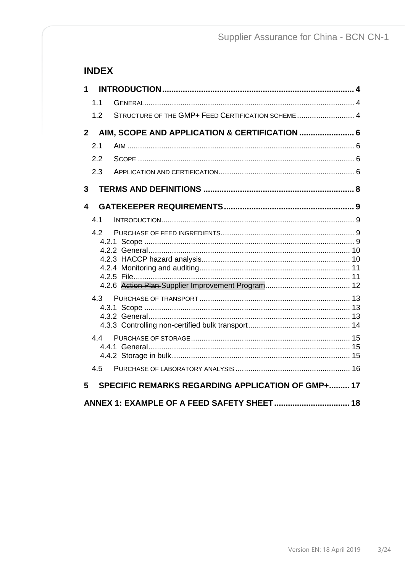# **INDEX**

| 1              |     |                                                    |
|----------------|-----|----------------------------------------------------|
|                | 1.1 |                                                    |
|                | 1.2 | STRUCTURE OF THE GMP+ FEED CERTIFICATION SCHEME  4 |
| 2 <sup>1</sup> |     | AIM, SCOPE AND APPLICATION & CERTIFICATION  6      |
|                | 2.1 |                                                    |
|                | 2.2 |                                                    |
|                | 2.3 |                                                    |
| 3              |     |                                                    |
| 4              |     |                                                    |
|                | 4.1 |                                                    |
|                | 4.2 |                                                    |
|                | 4.3 |                                                    |
|                | 4.4 |                                                    |
|                | 4.5 |                                                    |
| 5              |     | SPECIFIC REMARKS REGARDING APPLICATION OF GMP+ 17  |
|                |     | ANNEX 1: EXAMPLE OF A FEED SAFETY SHEET 18         |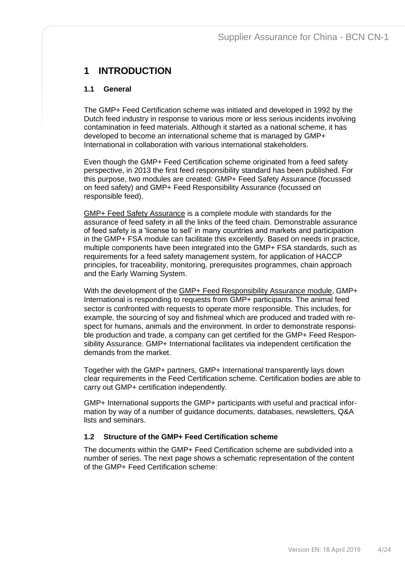# <span id="page-3-0"></span>**1 INTRODUCTION**

#### <span id="page-3-1"></span>**1.1 General**

The GMP+ Feed Certification scheme was initiated and developed in 1992 by the Dutch feed industry in response to various more or less serious incidents involving contamination in feed materials. Although it started as a national scheme, it has developed to become an international scheme that is managed by GMP+ International in collaboration with various international stakeholders.

Even though the GMP+ Feed Certification scheme originated from a feed safety perspective, in 2013 the first feed responsibility standard has been published. For this purpose, two modules are created: GMP+ Feed Safety Assurance (focussed on feed safety) and GMP+ Feed Responsibility Assurance (focussed on responsible feed).

GMP+ Feed Safety Assurance is a complete module with standards for the assurance of feed safety in all the links of the feed chain. Demonstrable assurance of feed safety is a 'license to sell' in many countries and markets and participation in the GMP+ FSA module can facilitate this excellently. Based on needs in practice, multiple components have been integrated into the GMP+ FSA standards, such as requirements for a feed safety management system, for application of HACCP principles, for traceability, monitoring, prerequisites programmes, chain approach and the Early Warning System.

With the development of the GMP+ Feed Responsibility Assurance module, GMP+ International is responding to requests from GMP+ participants. The animal feed sector is confronted with requests to operate more responsible. This includes, for example, the sourcing of soy and fishmeal which are produced and traded with respect for humans, animals and the environment. In order to demonstrate responsible production and trade, a company can get certified for the GMP+ Feed Responsibility Assurance. GMP+ International facilitates via independent certification the demands from the market.

Together with the GMP+ partners, GMP+ International transparently lays down clear requirements in the Feed Certification scheme. Certification bodies are able to carry out GMP+ certification independently.

GMP+ International supports the GMP+ participants with useful and practical information by way of a number of guidance documents, databases, newsletters, Q&A lists and seminars.

#### <span id="page-3-2"></span>**1.2 Structure of the GMP+ Feed Certification scheme**

The documents within the GMP+ Feed Certification scheme are subdivided into a number of series. The next page shows a schematic representation of the content of the GMP+ Feed Certification scheme: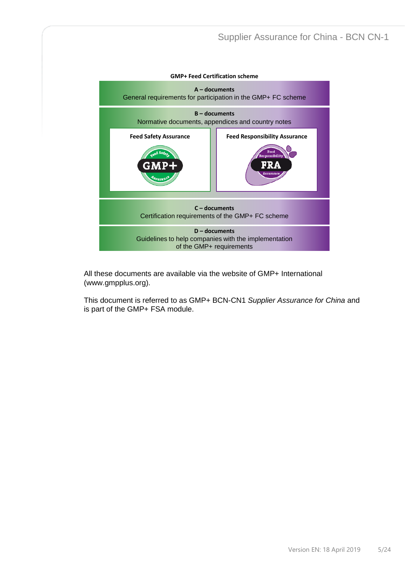

All these documents are available via the website of GMP+ International [\(www.gmpplus.org\)](http://www.gmpplus.org/).

This document is referred to as GMP+ BCN-CN1 *Supplier Assurance for China* and is part of the GMP+ FSA module.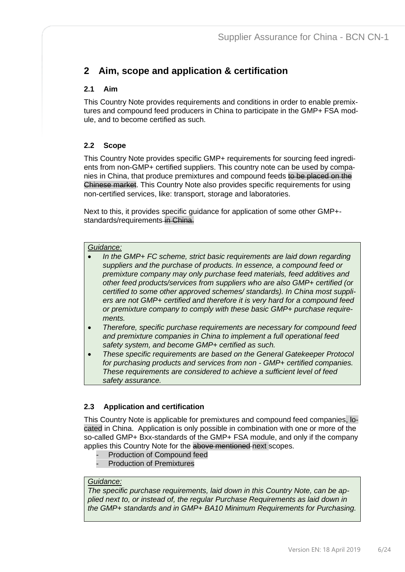# <span id="page-5-0"></span>**2 Aim, scope and application & certification**

# <span id="page-5-1"></span>**2.1 Aim**

This Country Note provides requirements and conditions in order to enable premixtures and compound feed producers in China to participate in the GMP+ FSA module, and to become certified as such.

# <span id="page-5-2"></span>**2.2 Scope**

This Country Note provides specific GMP+ requirements for sourcing feed ingredients from non-GMP+ certified suppliers. This country note can be used by companies in China, that produce premixtures and compound feeds to be placed on the Chinese market. This Country Note also provides specific requirements for using non-certified services, like: transport, storage and laboratories.

Next to this, it provides specific guidance for application of some other GMP+ standards/requirements in China.

#### *Guidance:*

- *In the GMP+ FC scheme, strict basic requirements are laid down regarding suppliers and the purchase of products. In essence, a compound feed or premixture company may only purchase feed materials, feed additives and other feed products/services from suppliers who are also GMP+ certified (or certified to some other approved schemes/ standards). In China most suppliers are not GMP+ certified and therefore it is very hard for a compound feed or premixture company to comply with these basic GMP+ purchase requirements.*
- *Therefore, specific purchase requirements are necessary for compound feed and premixture companies in China to implement a full operational feed safety system, and become GMP+ certified as such.*
- *These specific requirements are based on the General Gatekeeper Protocol for purchasing products and services from non - GMP+ certified companies. These requirements are considered to achieve a sufficient level of feed safety assurance.*

## <span id="page-5-3"></span>**2.3 Application and certification**

This Country Note is applicable for premixtures and compound feed companies, located in China. Application is only possible in combination with one or more of the so-called GMP+ Bxx-standards of the GMP+ FSA module, and only if the company applies this Country Note for the above mentioned next scopes.

- Production of Compound feed
- Production of Premixtures

#### *Guidance:*

*The specific purchase requirements, laid down in this Country Note, can be applied next to, or instead of, the regular Purchase Requirements as laid down in the GMP+ standards and in GMP+ BA10 Minimum Requirements for Purchasing.*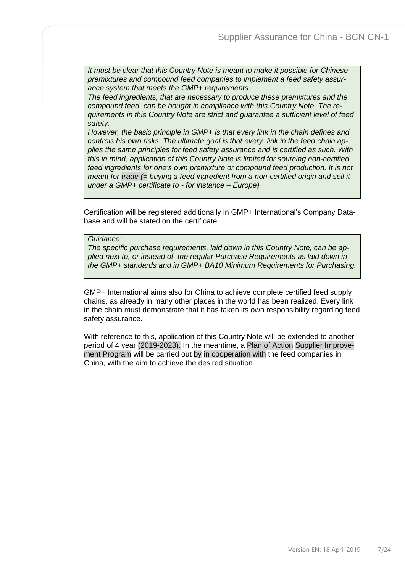*It must be clear that this Country Note is meant to make it possible for Chinese premixtures and compound feed companies to implement a feed safety assurance system that meets the GMP+ requirements.* 

*The feed ingredients, that are necessary to produce these premixtures and the compound feed, can be bought in compliance with this Country Note. The requirements in this Country Note are strict and guarantee a sufficient level of feed safety.* 

*However, the basic principle in GMP+ is that every link in the chain defines and controls his own risks. The ultimate goal is that every link in the feed chain applies the same principles for feed safety assurance and is certified as such. With this in mind, application of this Country Note is limited for sourcing non-certified feed ingredients for one's own premixture or compound feed production. It is not meant for trade (= buying a feed ingredient from a non-certified origin and sell it under a GMP+ certificate to - for instance – Europe).*

Certification will be registered additionally in GMP+ International's Company Database and will be stated on the certificate.

*Guidance:*

*The specific purchase requirements, laid down in this Country Note, can be applied next to, or instead of, the regular Purchase Requirements as laid down in the GMP+ standards and in GMP+ BA10 Minimum Requirements for Purchasing.* 

GMP+ International aims also for China to achieve complete certified feed supply chains, as already in many other places in the world has been realized. Every link in the chain must demonstrate that it has taken its own responsibility regarding feed safety assurance.

With reference to this, application of this Country Note will be extended to another period of 4 year (2019-2023). In the meantime, a Plan of Action Supplier Improvement Program will be carried out by in cooperation with the feed companies in China, with the aim to achieve the desired situation.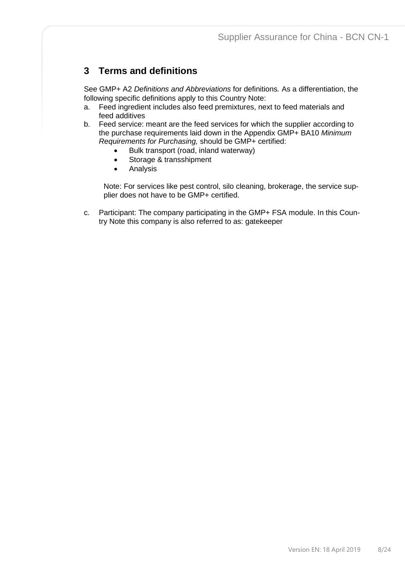# <span id="page-7-0"></span>**3 Terms and definitions**

See GMP+ A2 *Definitions and Abbreviations* for definitions*.* As a differentiation, the following specific definitions apply to this Country Note:

- a. Feed ingredient includes also feed premixtures, next to feed materials and feed additives
- b. Feed service: meant are the feed services for which the supplier according to the purchase requirements laid down in the Appendix GMP+ BA10 *Minimum Requirements for Purchasing,* should be GMP+ certified:
	- Bulk transport (road, inland waterway)
	- Storage & transshipment
	- Analysis

Note: For services like pest control, silo cleaning, brokerage, the service supplier does not have to be GMP+ certified.

c. Participant: The company participating in the GMP+ FSA module. In this Country Note this company is also referred to as: gatekeeper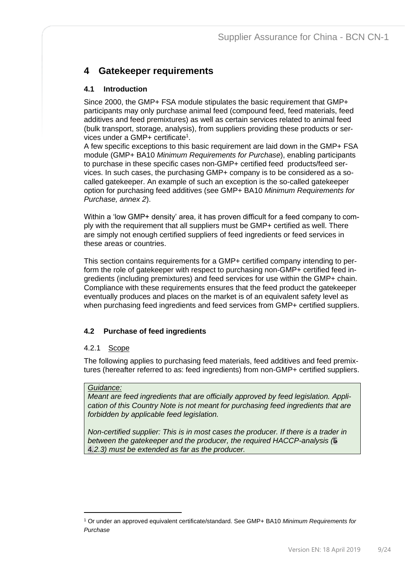# <span id="page-8-0"></span>**4 Gatekeeper requirements**

# <span id="page-8-1"></span>**4.1 Introduction**

Since 2000, the GMP+ FSA module stipulates the basic requirement that GMP+ participants may only purchase animal feed (compound feed, feed materials, feed additives and feed premixtures) as well as certain services related to animal feed (bulk transport, storage, analysis), from suppliers providing these products or services under a GMP+ certificate<sup>1</sup>.

A few specific exceptions to this basic requirement are laid down in the GMP+ FSA module (GMP+ BA10 *Minimum Requirements for Purchase*), enabling participants to purchase in these specific cases non-GMP+ certified feed products/feed services. In such cases, the purchasing GMP+ company is to be considered as a socalled gatekeeper. An example of such an exception is the so-called gatekeeper option for purchasing feed additives (see GMP+ BA10 *Minimum Requirements for Purchase, annex 2*).

Within a 'low GMP+ density' area, it has proven difficult for a feed company to comply with the requirement that all suppliers must be GMP+ certified as well. There are simply not enough certified suppliers of feed ingredients or feed services in these areas or countries.

This section contains requirements for a GMP+ certified company intending to perform the role of gatekeeper with respect to purchasing non-GMP+ certified feed ingredients (including premixtures) and feed services for use within the GMP+ chain. Compliance with these requirements ensures that the feed product the gatekeeper eventually produces and places on the market is of an equivalent safety level as when purchasing feed ingredients and feed services from GMP+ certified suppliers.

# <span id="page-8-2"></span>**4.2 Purchase of feed ingredients**

## <span id="page-8-3"></span>4.2.1 Scope

The following applies to purchasing feed materials, feed additives and feed premixtures (hereafter referred to as: feed ingredients) from non-GMP+ certified suppliers.

## *Guidance:*

*Meant are feed ingredients that are officially approved by feed legislation. Application of this Country Note is not meant for purchasing feed ingredients that are forbidden by applicable feed legislation.*

*Non-certified supplier: This is in most cases the producer. If there is a trader in between the gatekeeper and the producer, the required HACCP-analysis (*5 4*.2.3) must be extended as far as the producer.*

<sup>1</sup> Or under an approved equivalent certificate/standard. See GMP+ BA10 *Minimum Requirements for Purchase*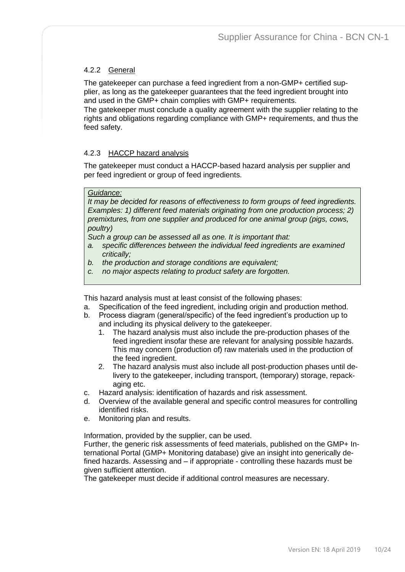# <span id="page-9-0"></span>4.2.2 General

The gatekeeper can purchase a feed ingredient from a non-GMP+ certified supplier, as long as the gatekeeper guarantees that the feed ingredient brought into and used in the GMP+ chain complies with GMP+ requirements.

The gatekeeper must conclude a quality agreement with the supplier relating to the rights and obligations regarding compliance with GMP+ requirements, and thus the feed safety.

## <span id="page-9-1"></span>4.2.3 HACCP hazard analysis

The gatekeeper must conduct a HACCP-based hazard analysis per supplier and per feed ingredient or group of feed ingredients.

#### *Guidance:*

*It may be decided for reasons of effectiveness to form groups of feed ingredients. Examples: 1) different feed materials originating from one production process; 2) premixtures, from one supplier and produced for one animal group (pigs, cows, poultry)*

*Such a group can be assessed all as one. It is important that:*

- *a. specific differences between the individual feed ingredients are examined critically;*
- *b. the production and storage conditions are equivalent;*
- *c. no major aspects relating to product safety are forgotten.*

This hazard analysis must at least consist of the following phases:

- a. Specification of the feed ingredient, including origin and production method.
- b. Process diagram (general/specific) of the feed ingredient's production up to and including its physical delivery to the gatekeeper.
	- 1. The hazard analysis must also include the pre-production phases of the feed ingredient insofar these are relevant for analysing possible hazards. This may concern (production of) raw materials used in the production of the feed ingredient.
	- 2. The hazard analysis must also include all post-production phases until delivery to the gatekeeper, including transport, (temporary) storage, repackaging etc.
- c. Hazard analysis: identification of hazards and risk assessment.
- d. Overview of the available general and specific control measures for controlling identified risks.
- e. Monitoring plan and results.

Information, provided by the supplier, can be used.

Further, the generic risk assessments of feed materials, published on the GMP+ International Portal (GMP+ Monitoring database) give an insight into generically defined hazards. Assessing and – if appropriate - controlling these hazards must be given sufficient attention.

The gatekeeper must decide if additional control measures are necessary.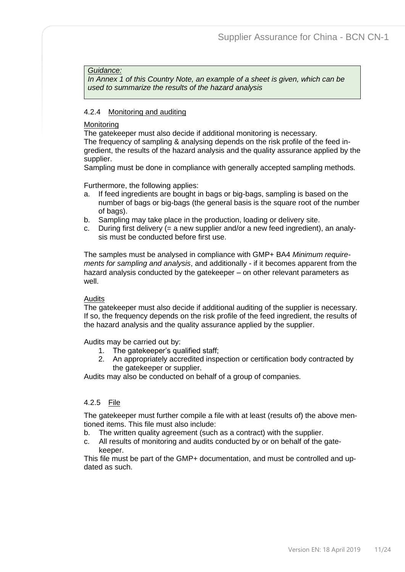#### *Guidance:*

*In Annex 1 of this Country Note, an example of a sheet is given, which can be used to summarize the results of the hazard analysis*

#### <span id="page-10-0"></span>4.2.4 Monitoring and auditing

#### **Monitoring**

The gatekeeper must also decide if additional monitoring is necessary. The frequency of sampling & analysing depends on the risk profile of the feed ingredient, the results of the hazard analysis and the quality assurance applied by the supplier.

Sampling must be done in compliance with generally accepted sampling methods.

Furthermore, the following applies:

- a. If feed ingredients are bought in bags or big-bags, sampling is based on the number of bags or big-bags (the general basis is the square root of the number of bags).
- b. Sampling may take place in the production, loading or delivery site.
- c. During first delivery (= a new supplier and/or a new feed ingredient), an analysis must be conducted before first use.

The samples must be analysed in compliance with GMP+ BA4 *Minimum requirements for sampling and analysis*, and additionally - if it becomes apparent from the hazard analysis conducted by the gatekeeper – on other relevant parameters as well.

#### Audits

The gatekeeper must also decide if additional auditing of the supplier is necessary. If so, the frequency depends on the risk profile of the feed ingredient, the results of the hazard analysis and the quality assurance applied by the supplier.

Audits may be carried out by:

- 1. The gatekeeper's qualified staff;
- 2. An appropriately accredited inspection or certification body contracted by the gatekeeper or supplier.

Audits may also be conducted on behalf of a group of companies.

#### <span id="page-10-1"></span>4.2.5 File

The gatekeeper must further compile a file with at least (results of) the above mentioned items. This file must also include:

- b. The written quality agreement (such as a contract) with the supplier.
- c. All results of monitoring and audits conducted by or on behalf of the gatekeeper.

This file must be part of the GMP+ documentation, and must be controlled and updated as such.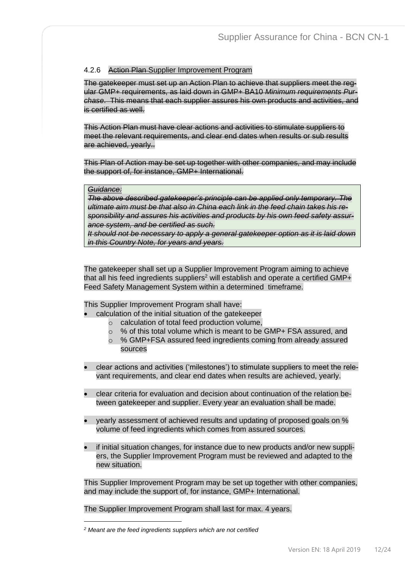## <span id="page-11-0"></span>4.2.6 Action Plan Supplier Improvement Program

The gatekeeper must set up an Action Plan to achieve that suppliers meet the regular GMP+ requirements, as laid down in GMP+ BA10 *Minimum requirements Purchase*. This means that each supplier assures his own products and activities, and is certified as well.

This Action Plan must have clear actions and activities to stimulate suppliers to meet the relevant requirements, and clear end dates when results or sub results are achieved, yearly..

This Plan of Action may be set up together with other companies, and may include the support of, for instance, GMP+ International.

#### *Guidance:*

*The above described gatekeeper's principle can be applied only temporary. The ultimate aim must be that also in China each link in the feed chain takes his responsibility and assures his activities and products by his own feed safety assurance system, and be certified as such.* 

*It should not be necessary to apply a general gatekeeper option as it is laid down in this Country Note, for years and years.*

The gatekeeper shall set up a Supplier Improvement Program aiming to achieve that all his feed ingredients suppliers<sup>2</sup> will establish and operate a certified GMP+ Feed Safety Management System within a determined timeframe.

This Supplier Improvement Program shall have:

- calculation of the initial situation of the gatekeeper
	- o calculation of total feed production volume,
	- $\circ$  % of this total volume which is meant to be GMP+ FSA assured, and
	- o % GMP+FSA assured feed ingredients coming from already assured sources
- clear actions and activities ('milestones') to stimulate suppliers to meet the relevant requirements, and clear end dates when results are achieved, yearly.
- clear criteria for evaluation and decision about continuation of the relation between gatekeeper and supplier. Every year an evaluation shall be made.
- yearly assessment of achieved results and updating of proposed goals on % volume of feed ingredients which comes from assured sources.
- if initial situation changes, for instance due to new products and/or new suppliers, the Supplier Improvement Program must be reviewed and adapted to the new situation.

This Supplier Improvement Program may be set up together with other companies, and may include the support of, for instance, GMP+ International.

The Supplier Improvement Program shall last for max. 4 years.

*<sup>2</sup> Meant are the feed ingredients suppliers which are not certified*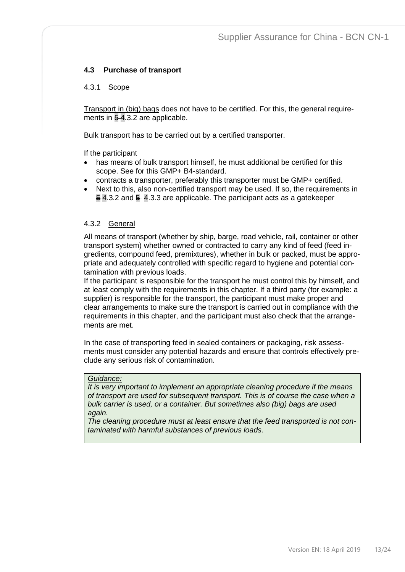## <span id="page-12-0"></span>**4.3 Purchase of transport**

#### <span id="page-12-1"></span>4.3.1 Scope

Transport in (big) bags does not have to be certified. For this, the general requirements in 54.3.2 are applicable.

Bulk transport has to be carried out by a certified transporter.

If the participant

- has means of bulk transport himself, he must additional be certified for this scope. See for this GMP+ B4-standard.
- contracts a transporter, preferably this transporter must be GMP+ certified.
- Next to this, also non-certified transport may be used. If so, the requirements in  $\overline{5}$  4.3.2 and  $\overline{5}$  4.3.3 are applicable. The participant acts as a gatekeeper

#### <span id="page-12-2"></span>4.3.2 General

All means of transport (whether by ship, barge, road vehicle, rail, container or other transport system) whether owned or contracted to carry any kind of feed (feed ingredients, compound feed, premixtures), whether in bulk or packed, must be appropriate and adequately controlled with specific regard to hygiene and potential contamination with previous loads.

If the participant is responsible for the transport he must control this by himself, and at least comply with the requirements in this chapter. If a third party (for example: a supplier) is responsible for the transport, the participant must make proper and clear arrangements to make sure the transport is carried out in compliance with the requirements in this chapter, and the participant must also check that the arrangements are met.

In the case of transporting feed in sealed containers or packaging, risk assessments must consider any potential hazards and ensure that controls effectively preclude any serious risk of contamination.

#### *Guidance:*

*It is very important to implement an appropriate cleaning procedure if the means of transport are used for subsequent transport. This is of course the case when a bulk carrier is used, or a container. But sometimes also (big) bags are used again.*

*The cleaning procedure must at least ensure that the feed transported is not contaminated with harmful substances of previous loads.*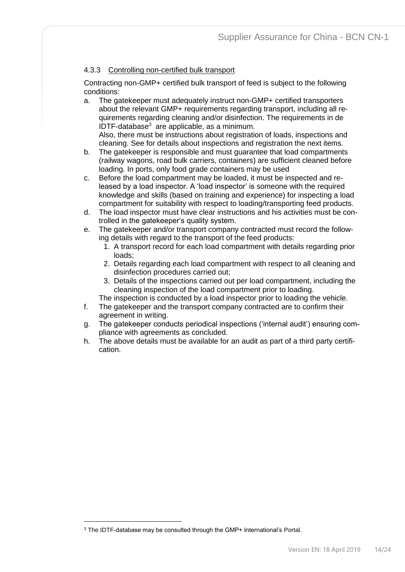# <span id="page-13-0"></span>4.3.3 Controlling non-certified bulk transport

Contracting non-GMP+ certified bulk transport of feed is subject to the following conditions:

a. The gatekeeper must adequately instruct non-GMP+ certified transporters about the relevant GMP+ requirements regarding transport, including all requirements regarding cleaning and/or disinfection. The requirements in de IDTF-database<sup>3</sup> are applicable, as a minimum. Also, there must be instructions about registration of loads, inspections and

cleaning. See for details about inspections and registration the next items.

- b. The gatekeeper is responsible and must guarantee that load compartments (railway wagons, road bulk carriers, containers) are sufficient cleaned before loading. In ports, only food grade containers may be used
- c. Before the load compartment may be loaded, it must be inspected and released by a load inspector. A 'load inspector' is someone with the required knowledge and skills (based on training and experience) for inspecting a load compartment for suitability with respect to loading/transporting feed products.
- d. The load inspector must have clear instructions and his activities must be controlled in the gatekeeper's quality system.
- e. The gatekeeper and/or transport company contracted must record the following details with regard to the transport of the feed products:
	- 1. A transport record for each load compartment with details regarding prior loads;
	- 2. Details regarding each load compartment with respect to all cleaning and disinfection procedures carried out;
	- 3. Details of the inspections carried out per load compartment, including the cleaning inspection of the load compartment prior to loading.
	- The inspection is conducted by a load inspector prior to loading the vehicle.
- f. The gatekeeper and the transport company contracted are to confirm their agreement in writing.
- g. The gatekeeper conducts periodical inspections ('internal audit') ensuring compliance with agreements as concluded.
- h. The above details must be available for an audit as part of a third party certification.

<sup>&</sup>lt;sup>3</sup> The IDTF-database may be consulted through the GMP+ International's Portal.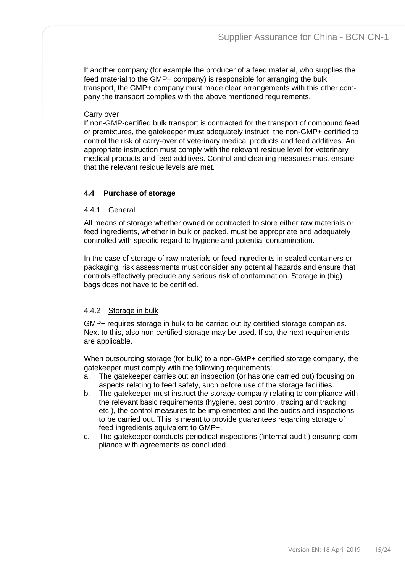If another company (for example the producer of a feed material, who supplies the feed material to the GMP+ company) is responsible for arranging the bulk transport, the GMP+ company must made clear arrangements with this other company the transport complies with the above mentioned requirements.

#### **Carry over**

If non-GMP-certified bulk transport is contracted for the transport of compound feed or premixtures, the gatekeeper must adequately instruct the non-GMP+ certified to control the risk of carry-over of veterinary medical products and feed additives. An appropriate instruction must comply with the relevant residue level for veterinary medical products and feed additives. Control and cleaning measures must ensure that the relevant residue levels are met.

# <span id="page-14-0"></span>**4.4 Purchase of storage**

#### <span id="page-14-1"></span>4.4.1 General

All means of storage whether owned or contracted to store either raw materials or feed ingredients, whether in bulk or packed, must be appropriate and adequately controlled with specific regard to hygiene and potential contamination.

In the case of storage of raw materials or feed ingredients in sealed containers or packaging, risk assessments must consider any potential hazards and ensure that controls effectively preclude any serious risk of contamination. Storage in (big) bags does not have to be certified.

## <span id="page-14-2"></span>4.4.2 Storage in bulk

GMP+ requires storage in bulk to be carried out by certified storage companies. Next to this, also non-certified storage may be used. If so, the next requirements are applicable.

When outsourcing storage (for bulk) to a non-GMP+ certified storage company, the gatekeeper must comply with the following requirements:

- a. The gatekeeper carries out an inspection (or has one carried out) focusing on aspects relating to feed safety, such before use of the storage facilities.
- b. The gatekeeper must instruct the storage company relating to compliance with the relevant basic requirements (hygiene, pest control, tracing and tracking etc.), the control measures to be implemented and the audits and inspections to be carried out. This is meant to provide guarantees regarding storage of feed ingredients equivalent to GMP+.
- c. The gatekeeper conducts periodical inspections ('internal audit') ensuring compliance with agreements as concluded.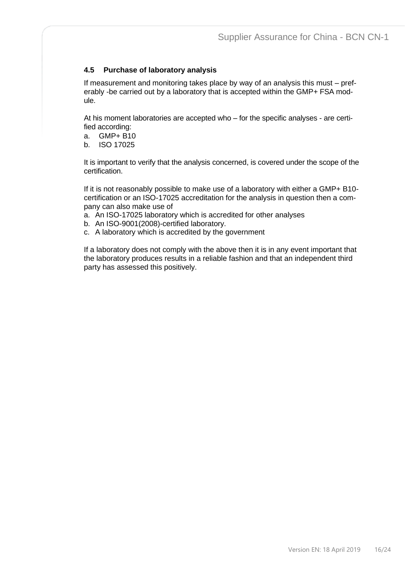# <span id="page-15-0"></span>**4.5 Purchase of laboratory analysis**

If measurement and monitoring takes place by way of an analysis this must – preferably -be carried out by a laboratory that is accepted within the GMP+ FSA module.

At his moment laboratories are accepted who – for the specific analyses - are certified according:

- a. GMP+ B10
- b. ISO 17025

It is important to verify that the analysis concerned, is covered under the scope of the certification.

If it is not reasonably possible to make use of a laboratory with either a GMP+ B10 certification or an ISO-17025 accreditation for the analysis in question then a company can also make use of

- a. An ISO-17025 laboratory which is accredited for other analyses
- b. An ISO-9001(2008)-certified laboratory.
- c. A laboratory which is accredited by the government

If a laboratory does not comply with the above then it is in any event important that the laboratory produces results in a reliable fashion and that an independent third party has assessed this positively.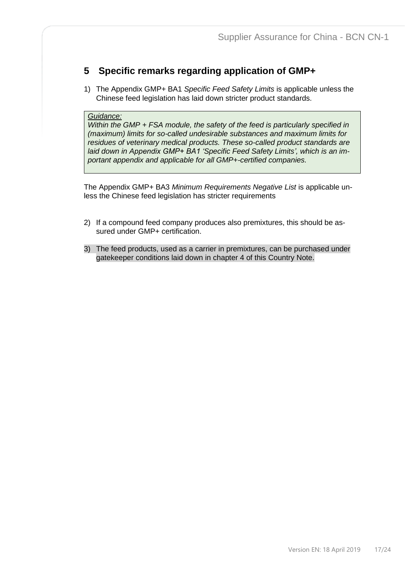# <span id="page-16-0"></span>**5 Specific remarks regarding application of GMP+**

1) The Appendix GMP+ BA1 *Specific Feed Safety Limits* is applicable unless the Chinese feed legislation has laid down stricter product standards.

#### *Guidance:*

*Within the GMP + FSA module, the safety of the feed is particularly specified in (maximum) limits for so-called undesirable substances and maximum limits for residues of veterinary medical products. These so-called product standards are laid down in Appendix GMP+ BA1 'Specific Feed Safety Limits', which is an important appendix and applicable for all GMP+-certified companies.*

The Appendix GMP+ BA3 *Minimum Requirements Negative List* is applicable unless the Chinese feed legislation has stricter requirements

- 2) If a compound feed company produces also premixtures, this should be assured under GMP+ certification.
- 3) The feed products, used as a carrier in premixtures, can be purchased under gatekeeper conditions laid down in chapter 4 of this Country Note.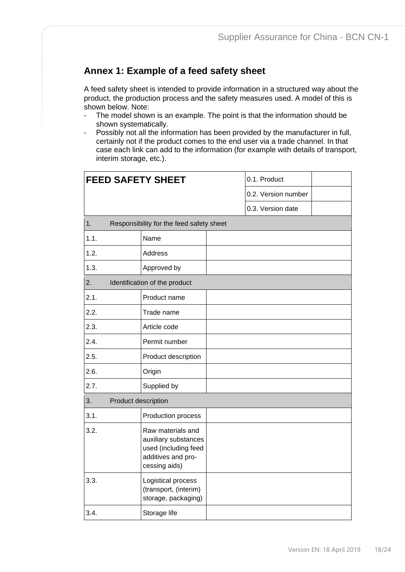# <span id="page-17-0"></span>**Annex 1: Example of a feed safety sheet**

A feed safety sheet is intended to provide information in a structured way about the product, the production process and the safety measures used. A model of this is shown below. Note:

- The model shown is an example. The point is that the information should be shown systematically.
- Possibly not all the information has been provided by the manufacturer in full, certainly not if the product comes to the end user via a trade channel. In that case each link can add to the information (for example with details of transport, interim storage, etc.).

| <b>FEED SAFETY SHEET</b>  |                                                                                                          | 0.1. Product        |  |
|---------------------------|----------------------------------------------------------------------------------------------------------|---------------------|--|
|                           |                                                                                                          | 0.2. Version number |  |
|                           |                                                                                                          | 0.3. Version date   |  |
| 1.                        | Responsibility for the feed safety sheet                                                                 |                     |  |
| 1.1.                      | Name                                                                                                     |                     |  |
| 1.2.                      | <b>Address</b>                                                                                           |                     |  |
| 1.3.                      | Approved by                                                                                              |                     |  |
| 2.                        | Identification of the product                                                                            |                     |  |
| 2.1.                      | Product name                                                                                             |                     |  |
| 2.2.                      | Trade name                                                                                               |                     |  |
| 2.3.                      | Article code                                                                                             |                     |  |
| 2.4.                      | Permit number                                                                                            |                     |  |
| 2.5.                      | Product description                                                                                      |                     |  |
| 2.6.                      | Origin                                                                                                   |                     |  |
| 2.7.                      | Supplied by                                                                                              |                     |  |
| Product description<br>3. |                                                                                                          |                     |  |
| 3.1.                      | Production process                                                                                       |                     |  |
| 3.2.                      | Raw materials and<br>auxiliary substances<br>used (including feed<br>additives and pro-<br>cessing aids) |                     |  |
| 3.3.                      | Logistical process<br>(transport, (interim)<br>storage, packaging)                                       |                     |  |
| 3.4.                      | Storage life                                                                                             |                     |  |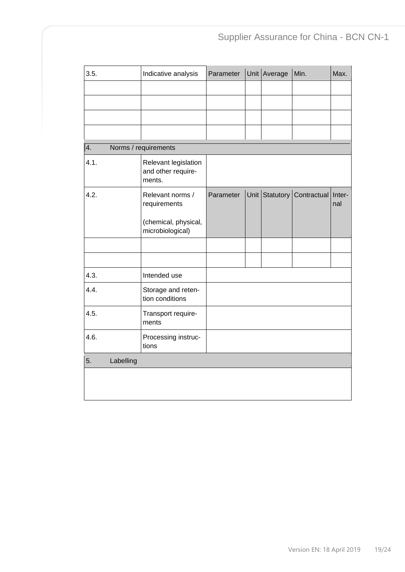| 3.5.            | Indicative analysis                                  | Parameter | Unit Average   | Min.               | Max. |
|-----------------|------------------------------------------------------|-----------|----------------|--------------------|------|
|                 |                                                      |           |                |                    |      |
|                 |                                                      |           |                |                    |      |
|                 |                                                      |           |                |                    |      |
|                 |                                                      |           |                |                    |      |
| 4.              | Norms / requirements                                 |           |                |                    |      |
| 4.1.            | Relevant legislation<br>and other require-<br>ments. |           |                |                    |      |
| 4.2.            | Relevant norms /<br>requirements                     | Parameter | Unit Statutory | Contractual Inter- | nal  |
|                 | (chemical, physical,<br>microbiological)             |           |                |                    |      |
|                 |                                                      |           |                |                    |      |
|                 |                                                      |           |                |                    |      |
| 4.3.            | Intended use                                         |           |                |                    |      |
| 4.4.            | Storage and reten-<br>tion conditions                |           |                |                    |      |
| 4.5.            | Transport require-<br>ments                          |           |                |                    |      |
| 4.6.            | Processing instruc-<br>tions                         |           |                |                    |      |
| 5.<br>Labelling |                                                      |           |                |                    |      |
|                 |                                                      |           |                |                    |      |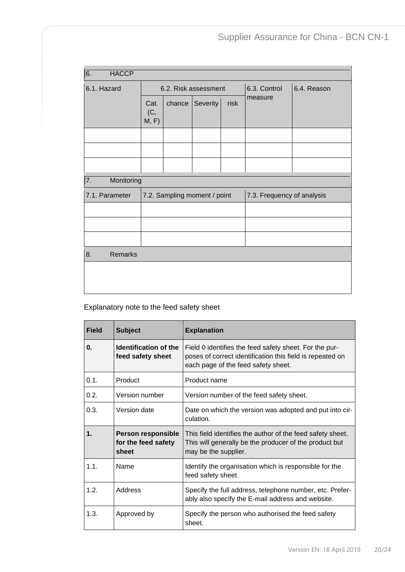| 6.<br><b>HACCP</b>                             |                      |                            |          |      |              |             |
|------------------------------------------------|----------------------|----------------------------|----------|------|--------------|-------------|
| 6.1. Hazard                                    | 6.2. Risk assessment |                            |          |      | 6.3. Control | 6.4. Reason |
|                                                | Cat.<br>(C,<br>M, F) | chance                     | Severity | risk | measure      |             |
|                                                |                      |                            |          |      |              |             |
|                                                |                      |                            |          |      |              |             |
|                                                |                      |                            |          |      |              |             |
| $\overline{7}$ .                               | Monitoring           |                            |          |      |              |             |
| 7.2. Sampling moment / point<br>7.1. Parameter |                      | 7.3. Frequency of analysis |          |      |              |             |
|                                                |                      |                            |          |      |              |             |
|                                                |                      |                            |          |      |              |             |
|                                                |                      |                            |          |      |              |             |
| <b>Remarks</b><br>8.                           |                      |                            |          |      |              |             |
|                                                |                      |                            |          |      |              |             |
|                                                |                      |                            |          |      |              |             |
|                                                |                      |                            |          |      |              |             |

# Explanatory note to the feed safety sheet

| <b>Field</b> | <b>Subject</b>                                            | <b>Explanation</b>                                                                                                                                         |
|--------------|-----------------------------------------------------------|------------------------------------------------------------------------------------------------------------------------------------------------------------|
| 0.           | Identification of the<br>feed safety sheet                | Field 0 identifies the feed safety sheet. For the pur-<br>poses of correct identification this field is repeated on<br>each page of the feed safety sheet. |
| $0.1$ .      | Product                                                   | Product name                                                                                                                                               |
| 0.2.         | Version number                                            | Version number of the feed safety sheet.                                                                                                                   |
| 0.3.         | Version date                                              | Date on which the version was adopted and put into cir-<br>culation.                                                                                       |
| 1.           | <b>Person responsible</b><br>for the feed safety<br>sheet | This field identifies the author of the feed safety sheet.<br>This will generally be the producer of the product but<br>may be the supplier.               |
| 1.1.         | Name                                                      | Identify the organisation which is responsible for the<br>feed safety sheet.                                                                               |
| 1.2.         | Address                                                   | Specify the full address, telephone number, etc. Prefer-<br>ably also specify the E-mail address and website.                                              |
| 1.3.         | Approved by                                               | Specify the person who authorised the feed safety<br>sheet.                                                                                                |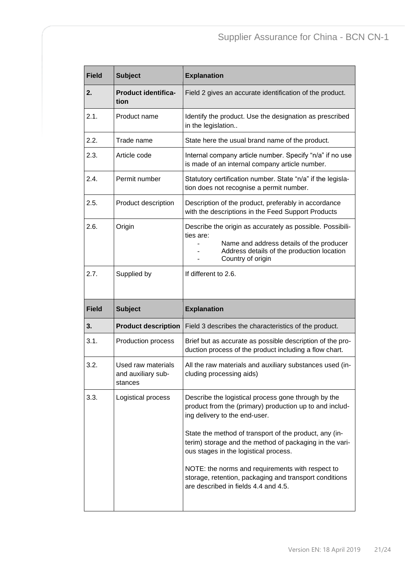| <b>Field</b> | <b>Subject</b>                                      | <b>Explanation</b>                                                                                                                                                                    |
|--------------|-----------------------------------------------------|---------------------------------------------------------------------------------------------------------------------------------------------------------------------------------------|
| 2.           | <b>Product identifica-</b><br>tion                  | Field 2 gives an accurate identification of the product.                                                                                                                              |
| 2.1.         | Product name                                        | Identify the product. Use the designation as prescribed<br>in the legislation                                                                                                         |
| 2.2.         | Trade name                                          | State here the usual brand name of the product.                                                                                                                                       |
| 2.3.         | Article code                                        | Internal company article number. Specify "n/a" if no use<br>is made of an internal company article number.                                                                            |
| 2.4.         | Permit number                                       | Statutory certification number. State "n/a" if the legisla-<br>tion does not recognise a permit number.                                                                               |
| 2.5.         | Product description                                 | Description of the product, preferably in accordance<br>with the descriptions in the Feed Support Products                                                                            |
| 2.6.         | Origin                                              | Describe the origin as accurately as possible. Possibili-<br>ties are:<br>Name and address details of the producer<br>Address details of the production location<br>Country of origin |
| 2.7.         | Supplied by                                         | If different to 2.6.                                                                                                                                                                  |
| <b>Field</b> | <b>Subject</b>                                      | <b>Explanation</b>                                                                                                                                                                    |
| 3.           | <b>Product description</b>                          | Field 3 describes the characteristics of the product.                                                                                                                                 |
|              |                                                     |                                                                                                                                                                                       |
| 3.1.         | Production process                                  | Brief but as accurate as possible description of the pro-<br>duction process of the product including a flow chart.                                                                   |
| 3.2.         | Used raw materials<br>and auxiliary sub-<br>stances | All the raw materials and auxiliary substances used (in-<br>cluding processing aids)                                                                                                  |
| 3.3.         | Logistical process                                  | Describe the logistical process gone through by the<br>product from the (primary) production up to and includ-<br>ing delivery to the end-user.                                       |
|              |                                                     | State the method of transport of the product, any (in-<br>terim) storage and the method of packaging in the vari-<br>ous stages in the logistical process.                            |
|              |                                                     | NOTE: the norms and requirements with respect to<br>storage, retention, packaging and transport conditions<br>are described in fields 4.4 and 4.5.                                    |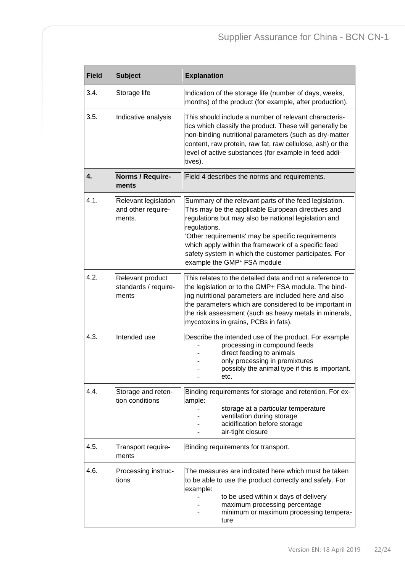| <b>Field</b> | <b>Subject</b>                                       | <b>Explanation</b>                                                                                                                                                                                                                                                                                                                                                                                   |  |
|--------------|------------------------------------------------------|------------------------------------------------------------------------------------------------------------------------------------------------------------------------------------------------------------------------------------------------------------------------------------------------------------------------------------------------------------------------------------------------------|--|
| 3.4.         | Storage life                                         | Indication of the storage life (number of days, weeks,<br>months) of the product (for example, after production).                                                                                                                                                                                                                                                                                    |  |
| 3.5.         | Indicative analysis                                  | This should include a number of relevant characteris-<br>tics which classify the product. These will generally be<br>non-binding nutritional parameters (such as dry-matter<br>content, raw protein, raw fat, raw cellulose, ash) or the<br>level of active substances (for example in feed addi-<br>tives).                                                                                         |  |
| 4.           | Norms / Require-<br>ments                            | Field 4 describes the norms and requirements.                                                                                                                                                                                                                                                                                                                                                        |  |
| 4.1.         | Relevant legislation<br>and other require-<br>ments. | Summary of the relevant parts of the feed legislation.<br>This may be the applicable European directives and<br>regulations but may also be national legislation and<br>regulations.<br>'Other requirements' may be specific requirements<br>which apply within the framework of a specific feed<br>safety system in which the customer participates. For<br>example the GMP <sup>+</sup> FSA module |  |
| 4.2.         | Relevant product<br>standards / require-<br>ments    | This relates to the detailed data and not a reference to<br>the legislation or to the GMP+ FSA module. The bind-<br>ing nutritional parameters are included here and also<br>the parameters which are considered to be important in<br>the risk assessment (such as heavy metals in minerals,<br>mycotoxins in grains, PCBs in fats).                                                                |  |
| 4.3.         | Intended use                                         | Describe the intended use of the product. For example<br>processing in compound feeds<br>direct feeding to animals<br>only processing in premixtures<br>possibly the animal type if this is important.<br>etc.                                                                                                                                                                                       |  |
| 4.4.         | Storage and reten-<br>tion conditions                | Binding requirements for storage and retention. For ex-<br>ample:<br>storage at a particular temperature<br>ventilation during storage<br>acidification before storage<br>air-tight closure                                                                                                                                                                                                          |  |
| 4.5.         | Transport require-<br>ments                          | Binding requirements for transport.                                                                                                                                                                                                                                                                                                                                                                  |  |
| 4.6.         | Processing instruc-<br>tions                         | The measures are indicated here which must be taken<br>to be able to use the product correctly and safely. For<br>example:<br>to be used within x days of delivery<br>maximum processing percentage<br>minimum or maximum processing tempera-<br>ture                                                                                                                                                |  |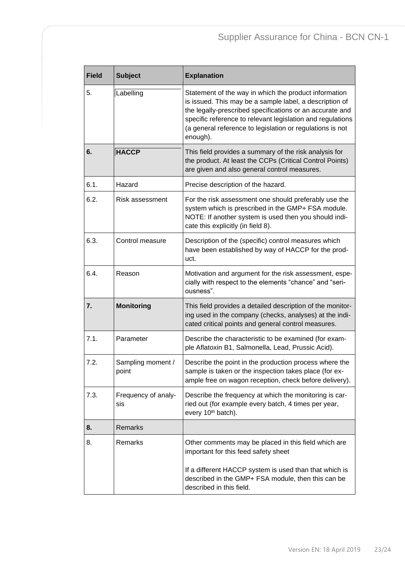| <b>Field</b> | <b>Subject</b>             | <b>Explanation</b>                                                                                                                                                                                                                                                                                                  |
|--------------|----------------------------|---------------------------------------------------------------------------------------------------------------------------------------------------------------------------------------------------------------------------------------------------------------------------------------------------------------------|
| 5.           | Labelling                  | Statement of the way in which the product information<br>is issued. This may be a sample label, a description of<br>the legally-prescribed specifications or an accurate and<br>specific reference to relevant legislation and regulations<br>(a general reference to legislation or regulations is not<br>enough). |
| 6.           | <b>HACCP</b>               | This field provides a summary of the risk analysis for<br>the product. At least the CCPs (Critical Control Points)<br>are given and also general control measures.                                                                                                                                                  |
| 6.1.         | Hazard                     | Precise description of the hazard.                                                                                                                                                                                                                                                                                  |
| 6.2.         | Risk assessment            | For the risk assessment one should preferably use the<br>system which is prescribed in the GMP+ FSA module.<br>NOTE: If another system is used then you should indi-<br>cate this explicitly (in field 8).                                                                                                          |
| 6.3.         | Control measure            | Description of the (specific) control measures which<br>have been established by way of HACCP for the prod-<br>uct.                                                                                                                                                                                                 |
| 6.4.         | Reason                     | Motivation and argument for the risk assessment, espe-<br>cially with respect to the elements "chance" and "seri-<br>ousness".                                                                                                                                                                                      |
| 7.           | <b>Monitoring</b>          | This field provides a detailed description of the monitor-<br>ing used in the company (checks, analyses) at the indi-<br>cated critical points and general control measures.                                                                                                                                        |
| 7.1.         | Parameter                  | Describe the characteristic to be examined (for exam-<br>ple Aflatoxin B1, Salmonella, Lead, Prussic Acid).                                                                                                                                                                                                         |
| 7.2.         | Sampling moment /<br>point | Describe the point in the production process where the<br>sample is taken or the inspection takes place (for ex-<br>ample free on wagon reception, check before delivery).                                                                                                                                          |
| 7.3.         | Frequency of analy-<br>sis | Describe the frequency at which the monitoring is car-<br>ried out (for example every batch, 4 times per year,<br>every 10 <sup>th</sup> batch).                                                                                                                                                                    |
| 8.           | Remarks                    |                                                                                                                                                                                                                                                                                                                     |
| 8.           | Remarks                    | Other comments may be placed in this field which are<br>important for this feed safety sheet                                                                                                                                                                                                                        |
|              |                            | If a different HACCP system is used than that which is<br>described in the GMP+ FSA module, then this can be<br>described in this field.                                                                                                                                                                            |